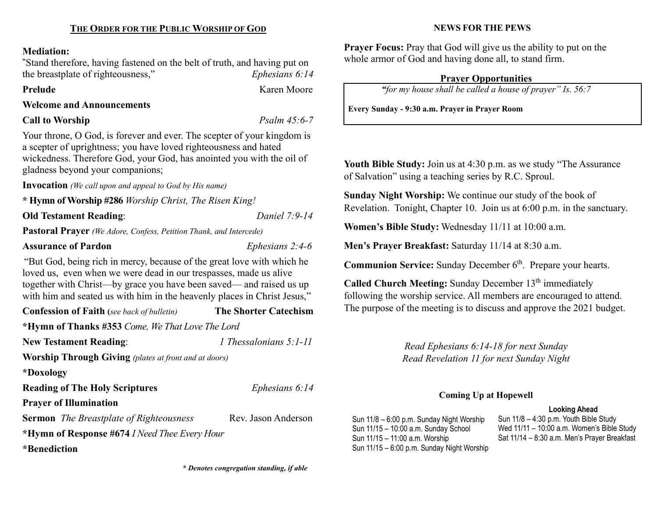### Mediation:

"Stand therefore, having fastened on the belt of truth, and having put on the breastplate of righteousness," Ephesians 6:14

Prelude Karen Moore

## Welcome and Announcements

Call to Worship Psalm 45:6-7

Your throne, O God, is forever and ever. The scepter of your kingdom is a scepter of uprightness; you have loved righteousness and hated wickedness. Therefore God, your God, has anointed you with the oil of gladness beyond your companions;

Invocation (We call upon and appeal to God by His name)

\* Hymn of Worship #286 Worship Christ, The Risen King!

Old Testament Reading: Daniel 7:9-14

Pastoral Prayer (We Adore, Confess, Petition Thank, and Intercede)

### Assurance of Pardon Ephesians 2:4-6

"But God, being rich in mercy, because of the great love with which he loved us, even when we were dead in our trespasses, made us alive together with Christ—by grace you have been saved— and raised us up with him and seated us with him in the heavenly places in Christ Jesus,"

Confession of Faith (see back of bulletin) The Shorter Catechism \*Hymn of Thanks #353 Come, We That Love The Lord New Testament Reading: 1 Thessalonians 5:1-11 Worship Through Giving (plates at front and at doors) \*Doxology Reading of The Holy Scriptures Ephesians 6:14 Prayer of Illumination Sermon The Breastplate of Righteousness Rev. Jason Anderson \*Hymn of Response #674 I Need Thee Every Hour

\*Benediction

\* Denotes congregation standing, if able

#### NEWS FOR THE PEWS

Prayer Focus: Pray that God will give us the ability to put on the whole armor of God and having done all, to stand firm.

## Prayer Opportunities

"for my house shall be called a house of prayer" Is. 56:7

Every Sunday - 9:30 a.m. Prayer in Prayer Room

Youth Bible Study: Join us at 4:30 p.m. as we study "The Assurance of Salvation" using a teaching series by R.C. Sproul.

Sunday Night Worship: We continue our study of the book of Revelation. Tonight, Chapter 10. Join us at 6:00 p.m. in the sanctuary.

Women's Bible Study: Wednesday 11/11 at 10:00 a.m.

Men's Prayer Breakfast: Saturday 11/14 at 8:30 a.m.

**Communion Service:** Sunday December  $6<sup>th</sup>$ . Prepare your hearts.

Called Church Meeting: Sunday December  $13<sup>th</sup>$  immediately following the worship service. All members are encouraged to attend. The purpose of the meeting is to discuss and approve the 2021 budget.

> Read Ephesians 6:14-18 for next Sunday Read Revelation 11 for next Sunday Night

# Coming Up at Hopewell

#### Looking Ahead

Sun 11/8 – 6:00 p.m. Sunday Night Worship Sun 11/15 – 10:00 a.m. Sunday School Sun 11/15 – 11:00 a.m. Worship Sun 11/15 – 6:00 p.m. Sunday Night Worship Sun 11/8 – 4:30 p.m. Youth Bible Study Wed 11/11 – 10:00 a.m. Women's Bible Study Sat 11/14 – 8:30 a.m. Men's Prayer Breakfast